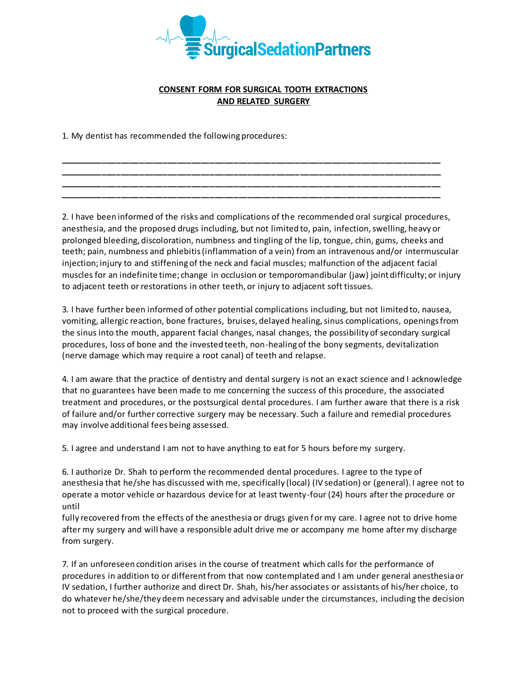

## **CONSENT FORM FOR SURGICAL TOOTH EXTRACTIONS AND RELATED SURGERY**

**\_\_\_\_\_\_\_\_\_\_\_\_\_\_\_\_\_\_\_\_\_\_\_\_\_\_\_\_\_\_\_\_\_\_\_\_\_\_\_\_\_\_\_\_\_\_\_\_\_\_\_\_\_\_\_\_\_\_\_\_\_\_\_\_\_\_\_\_\_\_\_\_\_\_\_\_\_\_\_\_\_ \_\_\_\_\_\_\_\_\_\_\_\_\_\_\_\_\_\_\_\_\_\_\_\_\_\_\_\_\_\_\_\_\_\_\_\_\_\_\_\_\_\_\_\_\_\_\_\_\_\_\_\_\_\_\_\_\_\_\_\_\_\_\_\_\_\_\_\_\_\_\_\_\_\_\_\_\_\_\_\_\_ \_\_\_\_\_\_\_\_\_\_\_\_\_\_\_\_\_\_\_\_\_\_\_\_\_\_\_\_\_\_\_\_\_\_\_\_\_\_\_\_\_\_\_\_\_\_\_\_\_\_\_\_\_\_\_\_\_\_\_\_\_\_\_\_\_\_\_\_\_\_\_\_\_\_\_\_\_\_\_\_\_ \_\_\_\_\_\_\_\_\_\_\_\_\_\_\_\_\_\_\_\_\_\_\_\_\_\_\_\_\_\_\_\_\_\_\_\_\_\_\_\_\_\_\_\_\_\_\_\_\_\_\_\_\_\_\_\_\_\_\_\_\_\_\_\_\_\_\_\_\_\_\_\_\_\_\_\_\_\_\_\_\_**

1. My dentist has recommended the following procedures:

2. I have been informed of the risks and complications of the recommended oral surgical procedures, anesthesia, and the proposed drugs including, but not limited to, pain, infection, swelling, heavy or prolonged bleeding, discoloration, numbness and tingling of the lip, tongue, chin, gums, cheeks and teeth; pain, numbness and phlebitis (inflammation of a vein) from an intravenous and/or intermuscular injection; injury to and stiffening of the neck and facial muscles; malfunction of the adjacent facial muscles for an indefinite time; change in occlusion or temporomandibular (jaw) joint difficulty; or injury to adjacent teeth or restorations in other teeth, or injury to adjacent soft tissues.

3. I have further been informed of other potential complications including, but not limited to, nausea, vomiting, allergic reaction, bone fractures, bruises, delayed healing, sinus complications, openings from the sinus into the mouth, apparent facial changes, nasal changes, the possibility of secondary surgical procedures, loss of bone and the invested teeth, non-healing of the bony segments, devitalization (nerve damage which may require a root canal) of teeth and relapse.

4. I am aware that the practice of dentistry and dental surgery is not an exact science and I acknowledge that no guarantees have been made to me concerning the success of this procedure, the associated treatment and procedures, or the postsurgical dental procedures. I am further aware that there is a risk of failure and/or further corrective surgery may be necessary. Such a failure and remedial procedures may involve additional fees being assessed.

5. I agree and understand I am not to have anything to eat for 5 hours before my surgery.

6. I authorize Dr. Shah to perform the recommended dental procedures. I agree to the type of anesthesia that he/she has discussed with me, specifically (local) (IV sedation) or (general). I agree not to operate a motor vehicle or hazardous device for at least twenty-four (24) hours after the procedure or until

fully recovered from the effects of the anesthesia or drugs given for my care. I agree not to drive home after my surgery and will have a responsible adult drive me or accompany me home after my discharge from surgery.

7. If an unforeseen condition arises in the course of treatment which calls for the performance of procedures in addition to or different from that now contemplated and I am under general anesthesia or IV sedation, I further authorize and direct Dr. Shah, his/her associates or assistants of his/her choice, to do whatever he/she/they deem necessary and advisable under the circumstances, including the decision not to proceed with the surgical procedure.